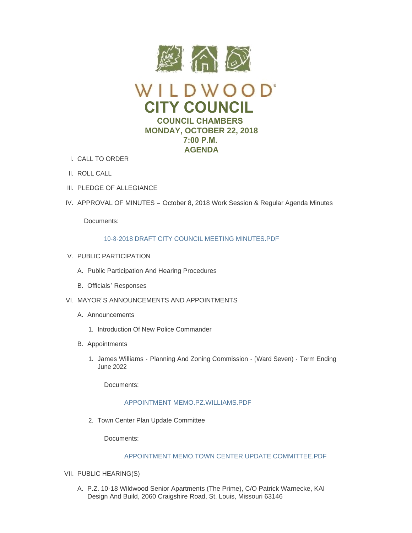

- CALL TO ORDER I.
- II. ROLL CALL
- III. PLEDGE OF ALLEGIANCE
- IV. APPROVAL OF MINUTES October 8, 2018 Work Session & Regular Agenda Minutes

Documents:

## [10-8-2018 DRAFT CITY COUNCIL MEETING MINUTES.PDF](https://www.cityofwildwood.com/AgendaCenter/ViewFile/Item/17609?fileID=24916)

- V. PUBLIC PARTICIPATION
	- A. Public Participation And Hearing Procedures
	- B. Officials' Responses
- VI. MAYOR'S ANNOUNCEMENTS AND APPOINTMENTS
	- A. Announcements
		- 1. Introduction Of New Police Commander
	- B. Appointments
		- 1. James Williams Planning And Zoning Commission (Ward Seven) Term Ending June 2022

Documents:

## [APPOINTMENT MEMO.PZ.WILLIAMS.PDF](https://www.cityofwildwood.com/AgendaCenter/ViewFile/Item/17624?fileID=24923)

2. Town Center Plan Update Committee

Documents:

# [APPOINTMENT MEMO.TOWN CENTER UPDATE COMMITTEE.PDF](https://www.cityofwildwood.com/AgendaCenter/ViewFile/Item/17627?fileID=24926)

- VII. PUBLIC HEARING(S)
	- A. P.Z. 10-18 Wildwood Senior Apartments (The Prime), C/O Patrick Warnecke, KAI Design And Build, 2060 Craigshire Road, St. Louis, Missouri 63146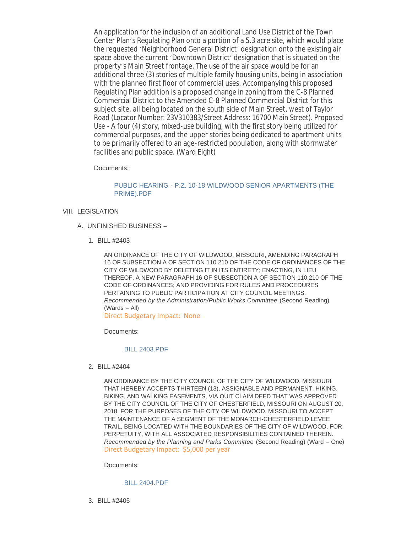An application for the inclusion of an additional Land Use District of the Town Center Plan's Regulating Plan onto a portion of a 5.3 acre site, which would place the requested 'Neighborhood General District' designation onto the existing air space above the current 'Downtown District' designation that is situated on the property's Main Street frontage. The use of the air space would be for an additional three (3) stories of multiple family housing units, being in association with the planned first floor of commercial uses. Accompanying this proposed Regulating Plan addition is a proposed change in zoning from the C-8 Planned Commercial District to the Amended C-8 Planned Commercial District for this subject site, all being located on the south side of Main Street, west of Taylor Road (Locator Number: 23V310383/Street Address: 16700 Main Street). Proposed Use - A four (4) story, mixed-use building, with the first story being utilized for commercial purposes, and the upper stories being dedicated to apartment units to be primarily offered to an age-restricted population, along with stormwater facilities and public space. (Ward Eight)

## Documents:

## PUBLIC HEARING - [P.Z. 10-18 WILDWOOD SENIOR APARTMENTS \(THE](https://www.cityofwildwood.com/AgendaCenter/ViewFile/Item/17531?fileID=24880)  PRIME).PDF

## VIII. LEGISLATION

- UNFINISHED BUSINESS A.
	- BILL #2403 1.

AN ORDINANCE OF THE CITY OF WILDWOOD, MISSOURI, AMENDING PARAGRAPH 16 OF SUBSECTION A OF SECTION 110.210 OF THE CODE OF ORDINANCES OF THE CITY OF WILDWOOD BY DELETING IT IN ITS ENTIRETY; ENACTING, IN LIEU THEREOF, A NEW PARAGRAPH 16 OF SUBSECTION A OF SECTION 110.210 OF THE CODE OF ORDINANCES; AND PROVIDING FOR RULES AND PROCEDURES PERTAINING TO PUBLIC PARTICIPATION AT CITY COUNCIL MEETINGS. *Recommended by the Administration/Public Works Committee (Second Reading)* (Wards – All)

Direct Budgetary Impact: None

Documents:

### [BILL 2403.PDF](https://www.cityofwildwood.com/AgendaCenter/ViewFile/Item/17534?fileID=24881)

BILL #2404 2.

AN ORDINANCE BY THE CITY COUNCIL OF THE CITY OF WILDWOOD, MISSOURI THAT HEREBY ACCEPTS THIRTEEN (13), ASSIGNABLE AND PERMANENT, HIKING, BIKING, AND WALKING EASEMENTS, VIA QUIT CLAIM DEED THAT WAS APPROVED BY THE CITY COUNCIL OF THE CITY OF CHESTERFIELD, MISSOURI ON AUGUST 20, 2018, FOR THE PURPOSES OF THE CITY OF WILDWOOD, MISSOURI TO ACCEPT THE MAINTENANCE OF A SEGMENT OF THE MONARCH-CHESTERFIELD LEVEE TRAIL, BEING LOCATED WITH THE BOUNDARIES OF THE CITY OF WILDWOOD, FOR PERPETUITY, WITH ALL ASSOCIATED RESPONSIBILITIES CONTAINED THEREIN. *Recommended by the Planning and Parks Committee* (Second Reading) (Ward – One) Direct Budgetary Impact: \$5,000 per year

Documents:

### [BILL 2404.PDF](https://www.cityofwildwood.com/AgendaCenter/ViewFile/Item/17535?fileID=24882)

BILL #2405 3.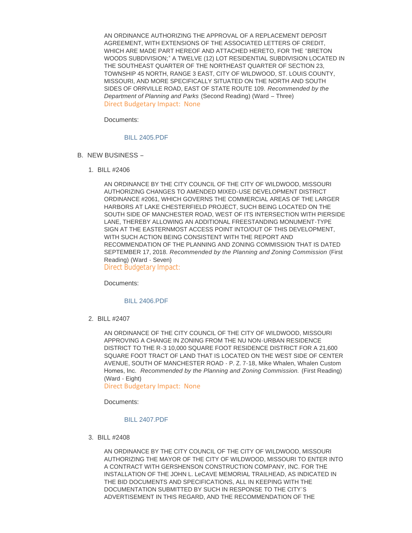AN ORDINANCE AUTHORIZING THE APPROVAL OF A REPLACEMENT DEPOSIT AGREEMENT, WITH EXTENSIONS OF THE ASSOCIATED LETTERS OF CREDIT, WHICH ARE MADE PART HEREOF AND ATTACHED HERETO, FOR THE "BRETON WOODS SUBDIVISION;" A TWELVE (12) LOT RESIDENTIAL SUBDIVISION LOCATED IN THE SOUTHEAST QUARTER OF THE NORTHEAST QUARTER OF SECTION 23, TOWNSHIP 45 NORTH, RANGE 3 EAST, CITY OF WILDWOOD, ST. LOUIS COUNTY, MISSOURI, AND MORE SPECIFICALLY SITUATED ON THE NORTH AND SOUTH SIDES OF ORRVILLE ROAD, EAST OF STATE ROUTE 109. *Recommended by the Department of Planning and Parks* (Second Reading) (Ward – Three) Direct Budgetary Impact: None

Documents:

### [BILL 2405.PDF](https://www.cityofwildwood.com/AgendaCenter/ViewFile/Item/17536?fileID=24883)

- B. NEW BUSINESS
	- BILL #2406 1.

AN ORDINANCE BY THE CITY COUNCIL OF THE CITY OF WILDWOOD, MISSOURI AUTHORIZING CHANGES TO AMENDED MIXED-USE DEVELOPMENT DISTRICT ORDINANCE #2061, WHICH GOVERNS THE COMMERCIAL AREAS OF THE LARGER HARBORS AT LAKE CHESTERFIELD PROJECT, SUCH BEING LOCATED ON THE SOUTH SIDE OF MANCHESTER ROAD, WEST OF ITS INTERSECTION WITH PIERSIDE LANE, THEREBY ALLOWING AN ADDITIONAL FREESTANDING MONUMENT-TYPE SIGN AT THE EASTERNMOST ACCESS POINT INTO/OUT OF THIS DEVELOPMENT, WITH SUCH ACTION BEING CONSISTENT WITH THE REPORT AND RECOMMENDATION OF THE PLANNING AND ZONING COMMISSION THAT IS DATED SEPTEMBER 17, 2018. *Recommended by the Planning and Zoning Commission* (First Reading) (Ward - Seven) Direct Budgetary Impact:

Documents:

#### [BILL 2406.PDF](https://www.cityofwildwood.com/AgendaCenter/ViewFile/Item/17538?fileID=24884)

BILL #2407 2.

AN ORDINANCE OF THE CITY COUNCIL OF THE CITY OF WILDWOOD, MISSOURI APPROVING A CHANGE IN ZONING FROM THE NU NON-URBAN RESIDENCE DISTRICT TO THE R-3 10,000 SQUARE FOOT RESIDENCE DISTRICT FOR A 21,600 SQUARE FOOT TRACT OF LAND THAT IS LOCATED ON THE WEST SIDE OF CENTER AVENUE, SOUTH OF MANCHESTER ROAD - P. Z. 7-18, Mike Whalen, Whalen Custom Homes, Inc. *Recommended by the Planning and Zoning Commission.* (First Reading) (Ward - Eight)

Direct Budgetary Impact: None

Documents:

#### [BILL 2407.PDF](https://www.cityofwildwood.com/AgendaCenter/ViewFile/Item/17539?fileID=24885)

BILL #2408 3.

AN ORDINANCE BY THE CITY COUNCIL OF THE CITY OF WILDWOOD, MISSOURI AUTHORIZING THE MAYOR OF THE CITY OF WILDWOOD, MISSOURI TO ENTER INTO A CONTRACT WITH GERSHENSON CONSTRUCTION COMPANY, INC. FOR THE INSTALLATION OF THE JOHN L. LeCAVE MEMORIAL TRAILHEAD, AS INDICATED IN THE BID DOCUMENTS AND SPECIFICATIONS, ALL IN KEEPING WITH THE DOCUMENTATION SUBMITTED BY SUCH IN RESPONSE TO THE CITY'S ADVERTISEMENT IN THIS REGARD, AND THE RECOMMENDATION OF THE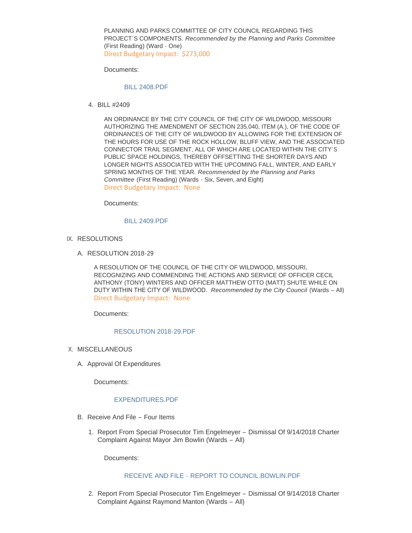PLANNING AND PARKS COMMITTEE OF CITY COUNCIL REGARDING THIS PROJECT'S COMPONENTS. *Recommended by the Planning and Parks Committee* (First Reading) (Ward - One) Direct Budgetary Impact: \$273,000

Documents:

### [BILL 2408.PDF](https://www.cityofwildwood.com/AgendaCenter/ViewFile/Item/17540?fileID=24886)

BILL #2409 4.

AN ORDINANCE BY THE CITY COUNCIL OF THE CITY OF WILDWOOD, MISSOURI AUTHORIZING THE AMENDMENT OF SECTION 235.040, ITEM (A.), OF THE CODE OF ORDINANCES OF THE CITY OF WILDWOOD BY ALLOWING FOR THE EXTENSION OF THE HOURS FOR USE OF THE ROCK HOLLOW, BLUFF VIEW, AND THE ASSOCIATED CONNECTOR TRAIL SEGMENT, ALL OF WHICH ARE LOCATED WITHIN THE CITY'S PUBLIC SPACE HOLDINGS, THEREBY OFFSETTING THE SHORTER DAYS AND LONGER NIGHTS ASSOCIATED WITH THE UPCOMING FALL, WINTER, AND EARLY SPRING MONTHS OF THE YEAR. *Recommended by the Planning and Parks Committee* (First Reading) (Wards - Six, Seven, and Eight) Direct Budgetary Impact: None

Documents:

### [BILL 2409.PDF](https://www.cityofwildwood.com/AgendaCenter/ViewFile/Item/17541?fileID=24887)

- IX. RESOLUTIONS
	- A. RESOLUTION 2018-29

A RESOLUTION OF THE COUNCIL OF THE CITY OF WILDWOOD, MISSOURI, RECOGNIZING AND COMMENDING THE ACTIONS AND SERVICE OF OFFICER CECIL ANTHONY (TONY) WINTERS AND OFFICER MATTHEW OTTO (MATT) SHUTE WHILE ON DUTY WITHIN THE CITY OF WILDWOOD. *Recommended by the City Council* (Wards – All) Direct Budgetary Impact: None

Documents:

#### [RESOLUTION 2018-29.PDF](https://www.cityofwildwood.com/AgendaCenter/ViewFile/Item/17543?fileID=24888)

- X. MISCELLANEOUS
	- A. Approval Of Expenditures

Documents:

## [EXPENDITURES.PDF](https://www.cityofwildwood.com/AgendaCenter/ViewFile/Item/17545?fileID=24889)

- B. Receive And File Four Items
	- 1. Report From Special Prosecutor Tim Engelmeyer Dismissal Of 9/14/2018 Charter Complaint Against Mayor Jim Bowlin (Wards – All)

Documents:

### RECEIVE AND FILE - [REPORT TO COUNCIL.BOWLIN.PDF](https://www.cityofwildwood.com/AgendaCenter/ViewFile/Item/17547?fileID=24890)

2. Report From Special Prosecutor Tim Engelmeyer - Dismissal Of 9/14/2018 Charter Complaint Against Raymond Manton (Wards – All)